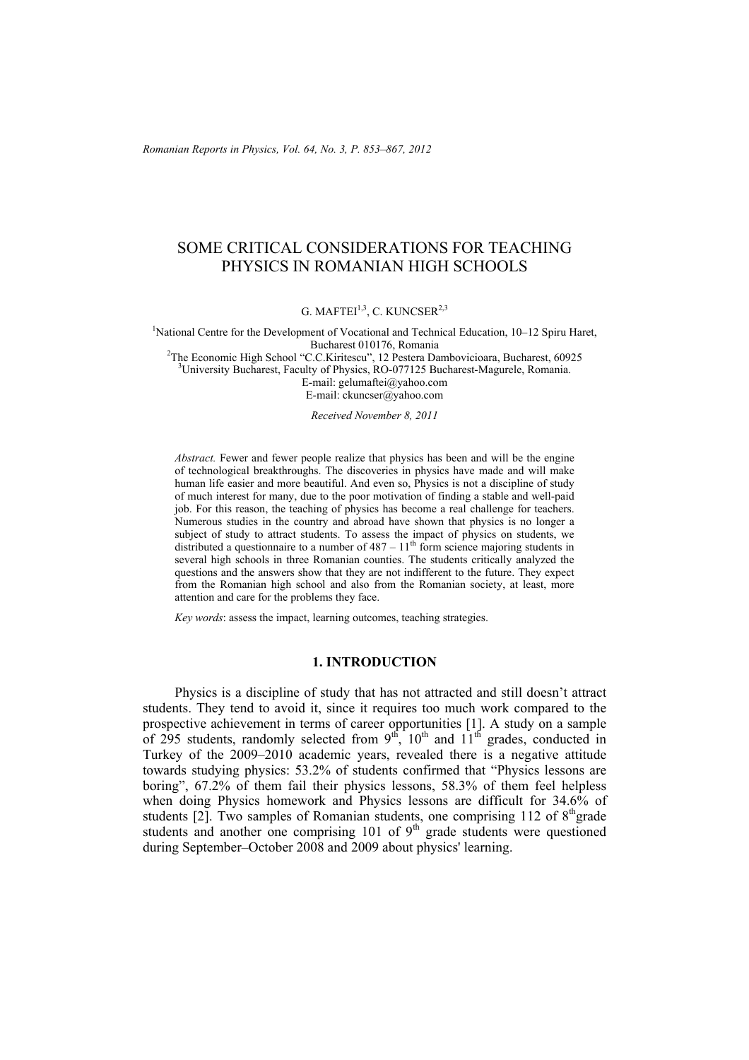*Romanian Reports in Physics, Vol. 64, No. 3, P. 853–867, 2012*

# SOME CRITICAL CONSIDERATIONS FOR TEACHING PHYSICS IN ROMANIAN HIGH SCHOOLS

G. MAFTEI<sup>1,3</sup>, C. KUNCSER<sup>2,3</sup>

<sup>1</sup>National Centre for the Development of Vocational and Technical Education, 10–12 Spiru Haret, Bucharest 010176, Romania

<sup>2</sup>The Economic High School "C.C.Kiritescu", 12 Pestera Dambovicioara, Bucharest, 60925<br><sup>3</sup>University Bucharest, Feaulty of Physics, B.O. 077125 Bucharest Megurals, Bomanic <sup>3</sup>University Bucharest, Faculty of Physics, RO-077125 Bucharest-Magurele, Romania. E-mail: gelumaftei@yahoo.com

E-mail: ckuncser@yahoo.com

*Received November 8, 2011* 

*Abstract.* Fewer and fewer people realize that physics has been and will be the engine of technological breakthroughs. The discoveries in physics have made and will make human life easier and more beautiful. And even so, Physics is not a discipline of study of much interest for many, due to the poor motivation of finding a stable and well-paid job. For this reason, the teaching of physics has become a real challenge for teachers. Numerous studies in the country and abroad have shown that physics is no longer a subject of study to attract students. To assess the impact of physics on students, we distributed a questionnaire to a number of  $487 - 11<sup>th</sup>$  form science majoring students in several high schools in three Romanian counties. The students critically analyzed the questions and the answers show that they are not indifferent to the future. They expect from the Romanian high school and also from the Romanian society, at least, more attention and care for the problems they face.

*Key words*: assess the impact, learning outcomes, teaching strategies.

#### **1. INTRODUCTION**

 Physics is a discipline of study that has not attracted and still doesn't attract students. They tend to avoid it, since it requires too much work compared to the prospective achievement in terms of career opportunities [1]. A study on a sample of 295 students, randomly selected from  $9<sup>th</sup>$ ,  $10<sup>th</sup>$  and  $11<sup>th</sup>$  grades, conducted in Turkey of the 2009–2010 academic years, revealed there is a negative attitude towards studying physics: 53.2% of students confirmed that "Physics lessons are boring", 67.2% of them fail their physics lessons, 58.3% of them feel helpless when doing Physics homework and Physics lessons are difficult for 34.6% of students  $[2]$ . Two samples of Romanian students, one comprising 112 of  $8<sup>th</sup>$ grade students and another one comprising  $101$  of  $9<sup>th</sup>$  grade students were questioned during September–October 2008 and 2009 about physics' learning.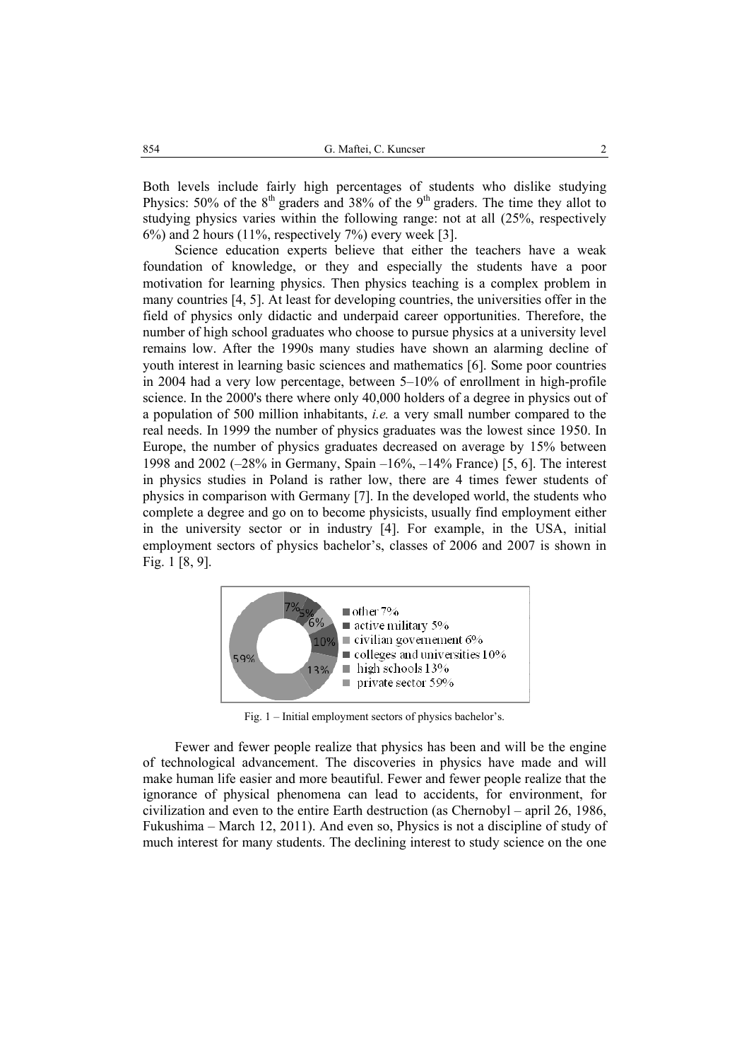Both levels include fairly high percentages of students who dislike studying Physics:  $50\%$  of the  $8<sup>th</sup>$  graders and  $38\%$  of the  $9<sup>th</sup>$  graders. The time they allot to studying physics varies within the following range: not at all (25%, respectively  $6\%$ ) and 2 hours (11%, respectively  $7\%$ ) every week [3].

 Science education experts believe that either the teachers have a weak foundation of knowledge, or they and especially the students have a poor motivation for learning physics. Then physics teaching is a complex problem in many countries [4, 5]. At least for developing countries, the universities offer in the field of physics only didactic and underpaid career opportunities. Therefore, the number of high school graduates who choose to pursue physics at a university level remains low. After the 1990s many studies have shown an alarming decline of youth interest in learning basic sciences and mathematics [6]. Some poor countries in 2004 had a very low percentage, between 5–10% of enrollment in high-profile science. In the 2000's there where only 40,000 holders of a degree in physics out of a population of 500 million inhabitants, *i.e.* a very small number compared to the real needs. In 1999 the number of physics graduates was the lowest since 1950. In Europe, the number of physics graduates decreased on average by 15% between 1998 and 2002 (–28% in Germany, Spain –16%, –14% France) [5, 6]. The interest in physics studies in Poland is rather low, there are 4 times fewer students of physics in comparison with Germany [7]. In the developed world, the students who complete a degree and go on to become physicists, usually find employment either in the university sector or in industry [4]. For example, in the USA, initial employment sectors of physics bachelor's, classes of 2006 and 2007 is shown in Fig. 1 [8, 9].



Fig. 1 – Initial employment sectors of physics bachelor's.

Fewer and fewer people realize that physics has been and will be the engine of technological advancement. The discoveries in physics have made and will make human life easier and more beautiful. Fewer and fewer people realize that the ignorance of physical phenomena can lead to accidents, for environment, for civilization and even to the entire Earth destruction (as Chernobyl – april 26, 1986, Fukushima – March 12, 2011). And even so, Physics is not a discipline of study of much interest for many students. The declining interest to study science on the one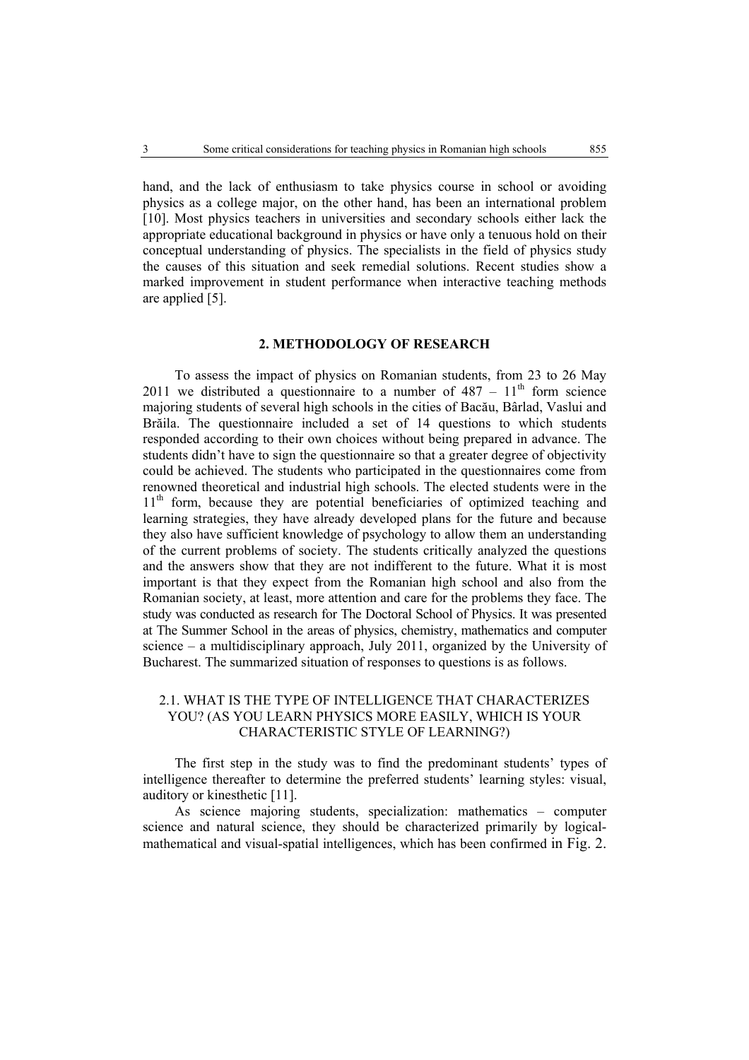hand, and the lack of enthusiasm to take physics course in school or avoiding physics as a college major, on the other hand, has been an international problem [10]. Most physics teachers in universities and secondary schools either lack the appropriate educational background in physics or have only a tenuous hold on their conceptual understanding of physics. The specialists in the field of physics study the causes of this situation and seek remedial solutions. Recent studies show a marked improvement in student performance when interactive teaching methods are applied [5].

#### **2. METHODOLOGY OF RESEARCH**

 To assess the impact of physics on Romanian students, from 23 to 26 May 2011 we distributed a questionnaire to a number of  $487 - 11<sup>th</sup>$  form science majoring students of several high schools in the cities of Bacău, Bârlad, Vaslui and Brăila. The questionnaire included a set of 14 questions to which students responded according to their own choices without being prepared in advance. The students didn't have to sign the questionnaire so that a greater degree of objectivity could be achieved. The students who participated in the questionnaires come from renowned theoretical and industrial high schools. The elected students were in the  $11<sup>th</sup>$  form, because they are potential beneficiaries of optimized teaching and learning strategies, they have already developed plans for the future and because they also have sufficient knowledge of psychology to allow them an understanding of the current problems of society. The students critically analyzed the questions and the answers show that they are not indifferent to the future. What it is most important is that they expect from the Romanian high school and also from the Romanian society, at least, more attention and care for the problems they face. The study was conducted as research for The Doctoral School of Physics. It was presented at The Summer School in the areas of physics, chemistry, mathematics and computer science – a multidisciplinary approach, July 2011, organized by the University of Bucharest. The summarized situation of responses to questions is as follows.

## 2.1. WHAT IS THE TYPE OF INTELLIGENCE THAT CHARACTERIZES YOU? (AS YOU LEARN PHYSICS MORE EASILY, WHICH IS YOUR CHARACTERISTIC STYLE OF LEARNING?)

 The first step in the study was to find the predominant students' types of intelligence thereafter to determine the preferred students' learning styles: visual, auditory or kinesthetic [11].

As science majoring students, specialization: mathematics – computer science and natural science, they should be characterized primarily by logicalmathematical and visual-spatial intelligences, which has been confirmed in Fig. 2.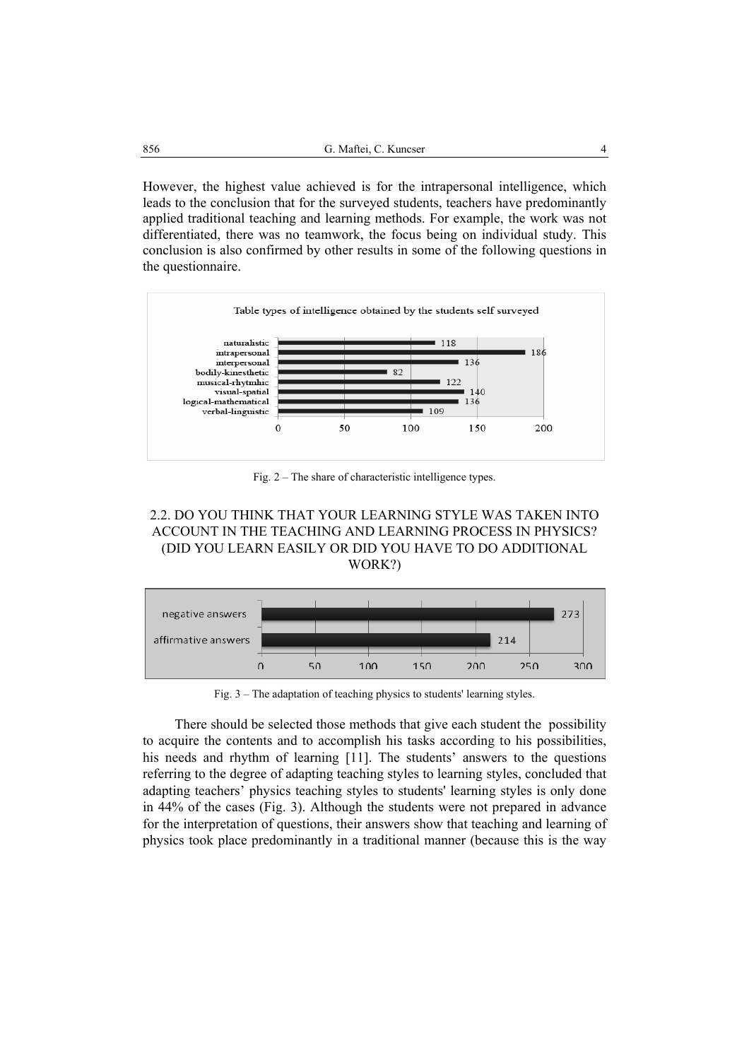However, the highest value achieved is for the intrapersonal intelligence, which leads to the conclusion that for the surveyed students, teachers have predominantly applied traditional teaching and learning methods. For example, the work was not differentiated, there was no teamwork, the focus being on individual study. This conclusion is also confirmed by other results in some of the following questions in the questionnaire.



Fig. 2 – The share of characteristic intelligence types.





Fig. 3 – The adaptation of teaching physics to students' learning styles.

There should be selected those methods that give each student the possibility to acquire the contents and to accomplish his tasks according to his possibilities, his needs and rhythm of learning [11]. The students' answers to the questions referring to the degree of adapting teaching styles to learning styles, concluded that adapting teachers' physics teaching styles to students' learning styles is only done in 44% of the cases (Fig. 3). Although the students were not prepared in advance for the interpretation of questions, their answers show that teaching and learning of physics took place predominantly in a traditional manner (because this is the way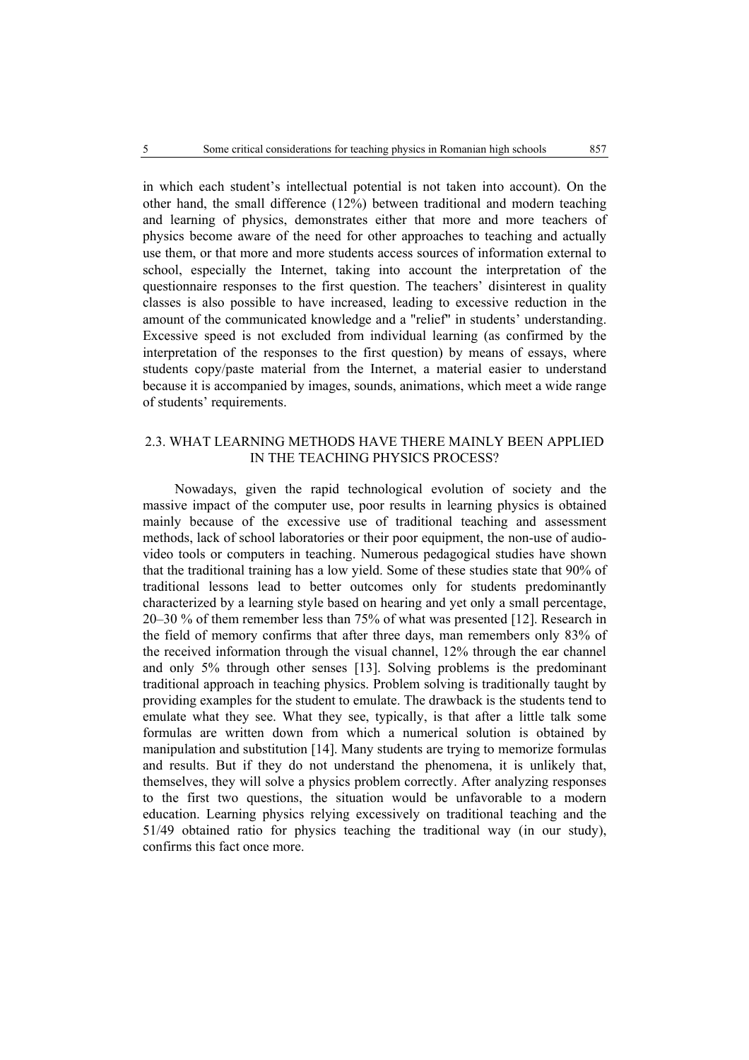in which each student's intellectual potential is not taken into account). On the other hand, the small difference (12%) between traditional and modern teaching and learning of physics, demonstrates either that more and more teachers of physics become aware of the need for other approaches to teaching and actually use them, or that more and more students access sources of information external to school, especially the Internet, taking into account the interpretation of the questionnaire responses to the first question. The teachers' disinterest in quality classes is also possible to have increased, leading to excessive reduction in the amount of the communicated knowledge and a "relief" in students' understanding. Excessive speed is not excluded from individual learning (as confirmed by the interpretation of the responses to the first question) by means of essays, where students copy/paste material from the Internet, a material easier to understand because it is accompanied by images, sounds, animations, which meet a wide range of students' requirements.

### 2.3. WHAT LEARNING METHODS HAVE THERE MAINLY BEEN APPLIED IN THE TEACHING PHYSICS PROCESS?

Nowadays, given the rapid technological evolution of society and the massive impact of the computer use, poor results in learning physics is obtained mainly because of the excessive use of traditional teaching and assessment methods, lack of school laboratories or their poor equipment, the non-use of audiovideo tools or computers in teaching. Numerous pedagogical studies have shown that the traditional training has a low yield. Some of these studies state that 90% of traditional lessons lead to better outcomes only for students predominantly characterized by a learning style based on hearing and yet only a small percentage, 20–30 % of them remember less than 75% of what was presented [12]. Research in the field of memory confirms that after three days, man remembers only 83% of the received information through the visual channel, 12% through the ear channel and only 5% through other senses [13]. Solving problems is the predominant traditional approach in teaching physics. Problem solving is traditionally taught by providing examples for the student to emulate. The drawback is the students tend to emulate what they see. What they see, typically, is that after a little talk some formulas are written down from which a numerical solution is obtained by manipulation and substitution [14]. Many students are trying to memorize formulas and results. But if they do not understand the phenomena, it is unlikely that, themselves, they will solve a physics problem correctly. After analyzing responses to the first two questions, the situation would be unfavorable to a modern education. Learning physics relying excessively on traditional teaching and the 51/49 obtained ratio for physics teaching the traditional way (in our study), confirms this fact once more.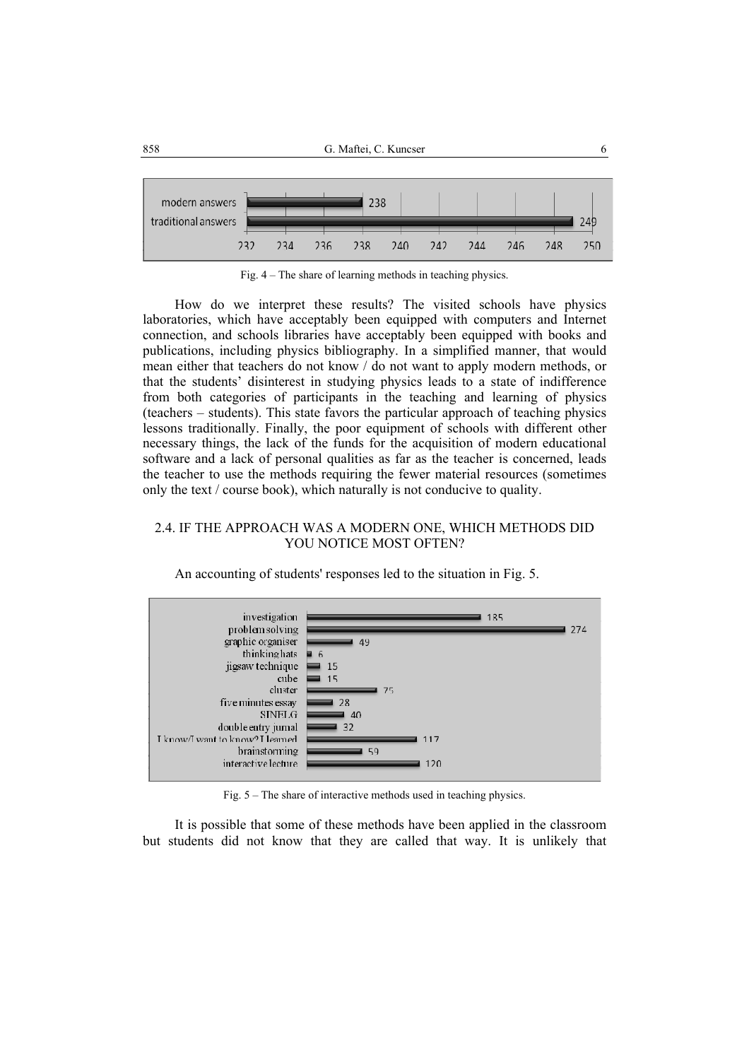

Fig. 4 – The share of learning methods in teaching physics.

How do we interpret these results? The visited schools have physics laboratories, which have acceptably been equipped with computers and Internet connection, and schools libraries have acceptably been equipped with books and publications, including physics bibliography. In a simplified manner, that would mean either that teachers do not know / do not want to apply modern methods, or that the students' disinterest in studying physics leads to a state of indifference from both categories of participants in the teaching and learning of physics (teachers – students). This state favors the particular approach of teaching physics lessons traditionally. Finally, the poor equipment of schools with different other necessary things, the lack of the funds for the acquisition of modern educational software and a lack of personal qualities as far as the teacher is concerned, leads the teacher to use the methods requiring the fewer material resources (sometimes only the text / course book), which naturally is not conducive to quality.

### 2.4. IF THE APPROACH WAS A MODERN ONE, WHICH METHODS DID YOU NOTICE MOST OFTEN?



An accounting of students' responses led to the situation in Fig. 5.

Fig. 5 – The share of interactive methods used in teaching physics.

It is possible that some of these methods have been applied in the classroom but students did not know that they are called that way. It is unlikely that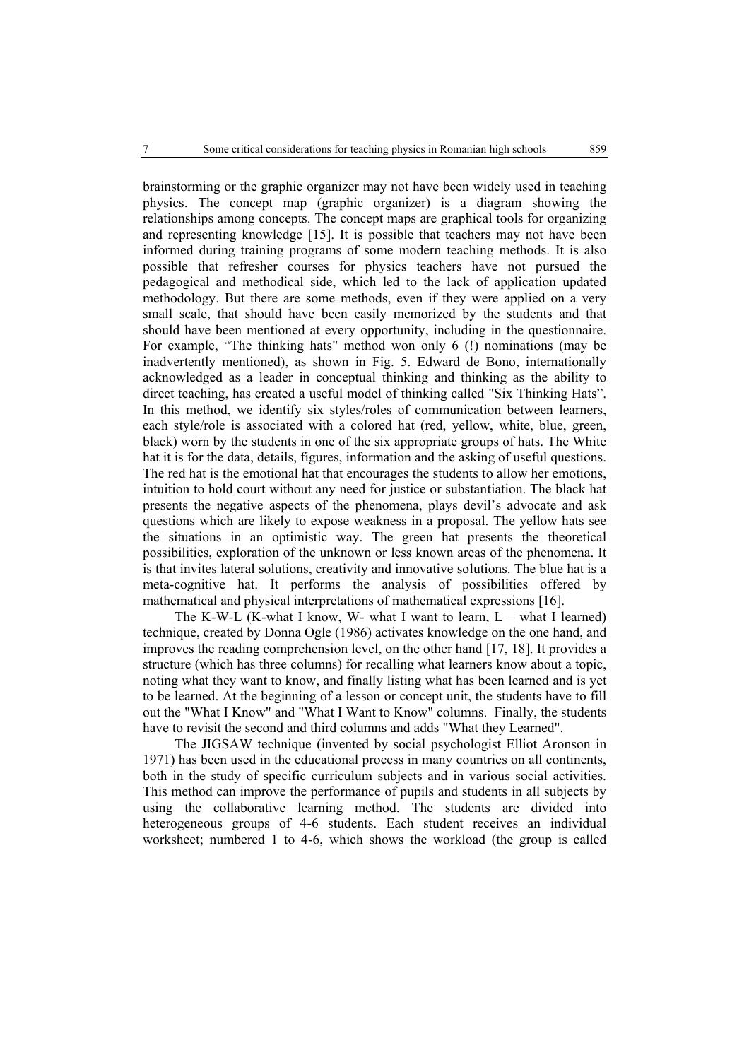brainstorming or the graphic organizer may not have been widely used in teaching physics. The concept map (graphic organizer) is a diagram showing the relationships among concepts. The concept maps are graphical tools for organizing and representing knowledge [15]. It is possible that teachers may not have been informed during training programs of some modern teaching methods. It is also possible that refresher courses for physics teachers have not pursued the pedagogical and methodical side, which led to the lack of application updated methodology. But there are some methods, even if they were applied on a very small scale, that should have been easily memorized by the students and that should have been mentioned at every opportunity, including in the questionnaire. For example, "The thinking hats" method won only 6 (!) nominations (may be inadvertently mentioned), as shown in Fig. 5. Edward de Bono, internationally acknowledged as a leader in conceptual thinking and thinking as the ability to direct teaching, has created a useful model of thinking called "Six Thinking Hats". In this method, we identify six styles/roles of communication between learners, each style/role is associated with a colored hat (red, yellow, white, blue, green, black) worn by the students in one of the six appropriate groups of hats. The White hat it is for the data, details, figures, information and the asking of useful questions. The red hat is the emotional hat that encourages the students to allow her emotions, intuition to hold court without any need for justice or substantiation. The black hat presents the negative aspects of the phenomena, plays devil's advocate and ask questions which are likely to expose weakness in a proposal. The yellow hats see the situations in an optimistic way. The green hat presents the theoretical possibilities, exploration of the unknown or less known areas of the phenomena. It is that invites lateral solutions, creativity and innovative solutions. The blue hat is a meta-cognitive hat. It performs the analysis of possibilities offered by mathematical and physical interpretations of mathematical expressions [16].

The K-W-L (K-what I know, W- what I want to learn,  $L$  – what I learned) technique, created by Donna Ogle (1986) activates knowledge on the one hand, and improves the reading comprehension level, on the other hand [17, 18]. It provides a structure (which has three columns) for recalling what learners know about a topic, noting what they want to know, and finally listing what has been learned and is yet to be learned. At the beginning of a lesson or concept unit, the students have to fill out the "What I Know" and "What I Want to Know" columns. Finally, the students have to revisit the second and third columns and adds "What they Learned".

The JIGSAW technique (invented by social psychologist Elliot Aronson in 1971) has been used in the educational process in many countries on all continents, both in the study of specific curriculum subjects and in various social activities. This method can improve the performance of pupils and students in all subjects by using the collaborative learning method. The students are divided into heterogeneous groups of 4-6 students. Each student receives an individual worksheet; numbered 1 to 4-6, which shows the workload (the group is called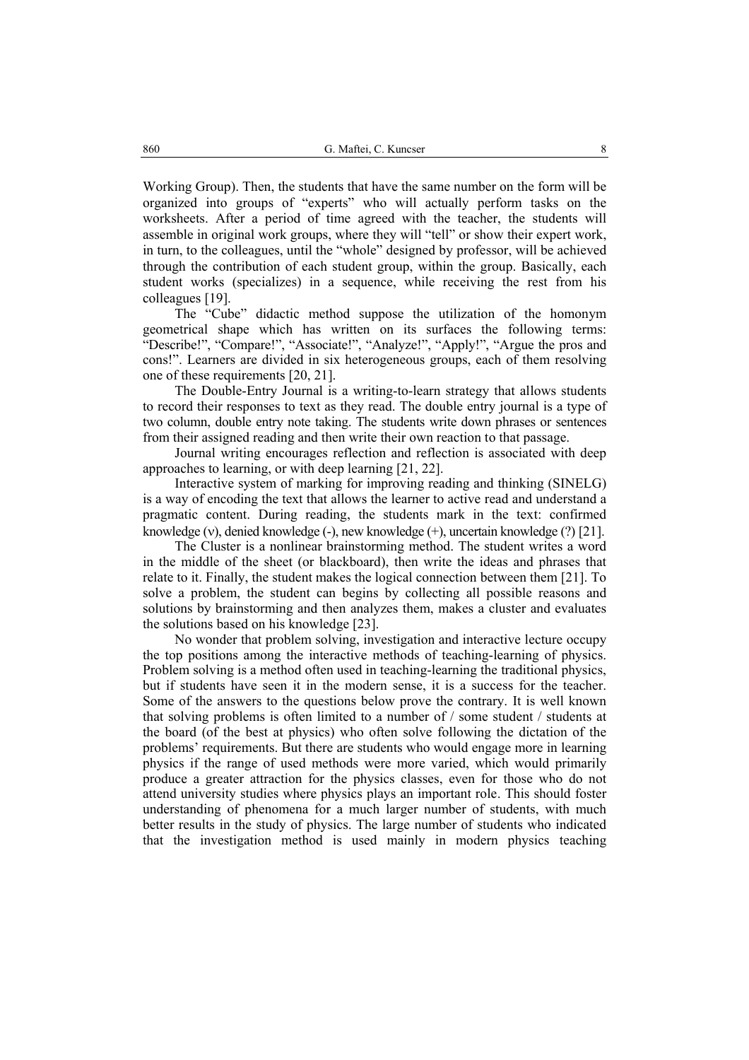Working Group). Then, the students that have the same number on the form will be organized into groups of "experts" who will actually perform tasks on the worksheets. After a period of time agreed with the teacher, the students will assemble in original work groups, where they will "tell" or show their expert work, in turn, to the colleagues, until the "whole" designed by professor, will be achieved through the contribution of each student group, within the group. Basically, each student works (specializes) in a sequence, while receiving the rest from his colleagues [19].

The "Cube" didactic method suppose the utilization of the homonym geometrical shape which has written on its surfaces the following terms: "Describe!", "Compare!", "Associate!", "Analyze!", "Apply!", "Argue the pros and cons!". Learners are divided in six heterogeneous groups, each of them resolving one of these requirements [20, 21].

The Double-Entry Journal is a writing-to-learn strategy that allows students to record their responses to text as they read. The double entry journal is a type of two column, double entry note taking. The students write down phrases or sentences from their assigned reading and then write their own reaction to that passage.

Journal writing encourages reflection and reflection is associated with deep approaches to learning, or with deep learning [21, 22].

Interactive system of marking for improving reading and thinking (SINELG) is a way of encoding the text that allows the learner to active read and understand a pragmatic content. During reading, the students mark in the text: confirmed knowledge (v), denied knowledge (-), new knowledge  $(+)$ , uncertain knowledge  $(?)$  [21].

The Cluster is a nonlinear brainstorming method. The student writes a word in the middle of the sheet (or blackboard), then write the ideas and phrases that relate to it. Finally, the student makes the logical connection between them [21]. To solve a problem, the student can begins by collecting all possible reasons and solutions by brainstorming and then analyzes them, makes a cluster and evaluates the solutions based on his knowledge [23].

No wonder that problem solving, investigation and interactive lecture occupy the top positions among the interactive methods of teaching-learning of physics. Problem solving is a method often used in teaching-learning the traditional physics, but if students have seen it in the modern sense, it is a success for the teacher. Some of the answers to the questions below prove the contrary. It is well known that solving problems is often limited to a number of / some student / students at the board (of the best at physics) who often solve following the dictation of the problems' requirements. But there are students who would engage more in learning physics if the range of used methods were more varied, which would primarily produce a greater attraction for the physics classes, even for those who do not attend university studies where physics plays an important role. This should foster understanding of phenomena for a much larger number of students, with much better results in the study of physics. The large number of students who indicated that the investigation method is used mainly in modern physics teaching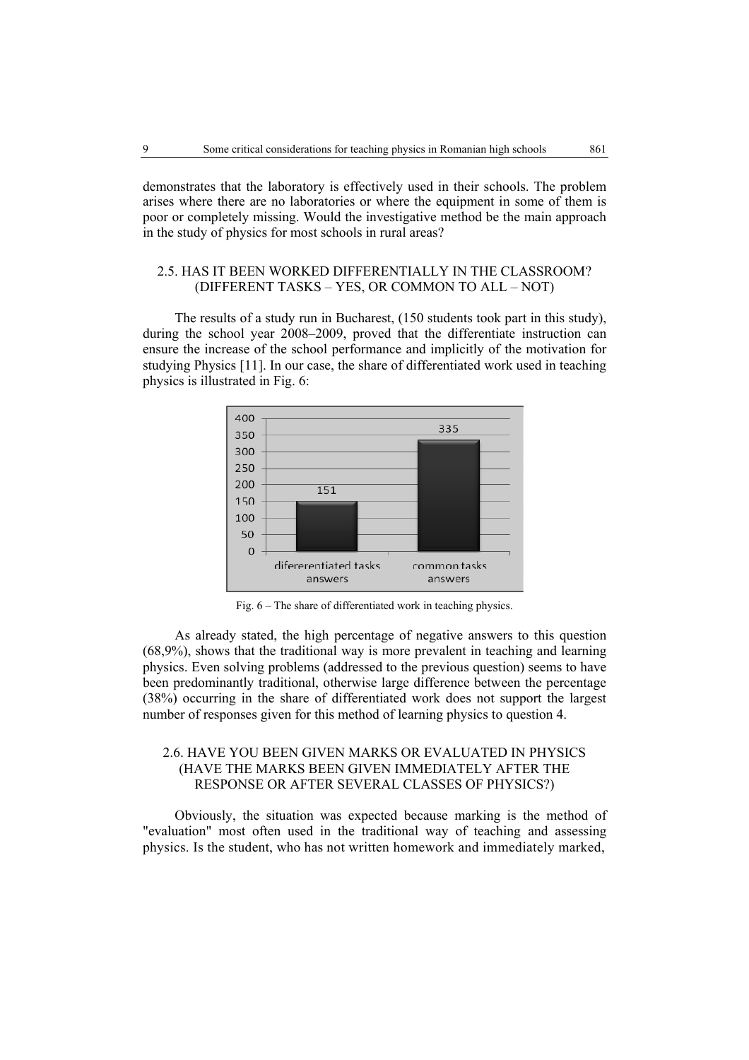demonstrates that the laboratory is effectively used in their schools. The problem arises where there are no laboratories or where the equipment in some of them is poor or completely missing. Would the investigative method be the main approach in the study of physics for most schools in rural areas?

### 2.5. HAS IT BEEN WORKED DIFFERENTIALLY IN THE CLASSROOM? (DIFFERENT TASKS – YES, OR COMMON TO ALL – NOT)

The results of a study run in Bucharest, (150 students took part in this study), during the school year 2008–2009, proved that the differentiate instruction can ensure the increase of the school performance and implicitly of the motivation for studying Physics [11]. In our case, the share of differentiated work used in teaching physics is illustrated in Fig. 6:



Fig. 6 – The share of differentiated work in teaching physics.

As already stated, the high percentage of negative answers to this question (68,9%), shows that the traditional way is more prevalent in teaching and learning physics. Even solving problems (addressed to the previous question) seems to have been predominantly traditional, otherwise large difference between the percentage (38%) occurring in the share of differentiated work does not support the largest number of responses given for this method of learning physics to question 4.

## 2.6. HAVE YOU BEEN GIVEN MARKS OR EVALUATED IN PHYSICS (HAVE THE MARKS BEEN GIVEN IMMEDIATELY AFTER THE RESPONSE OR AFTER SEVERAL CLASSES OF PHYSICS?)

Obviously, the situation was expected because marking is the method of "evaluation" most often used in the traditional way of teaching and assessing physics. Is the student, who has not written homework and immediately marked,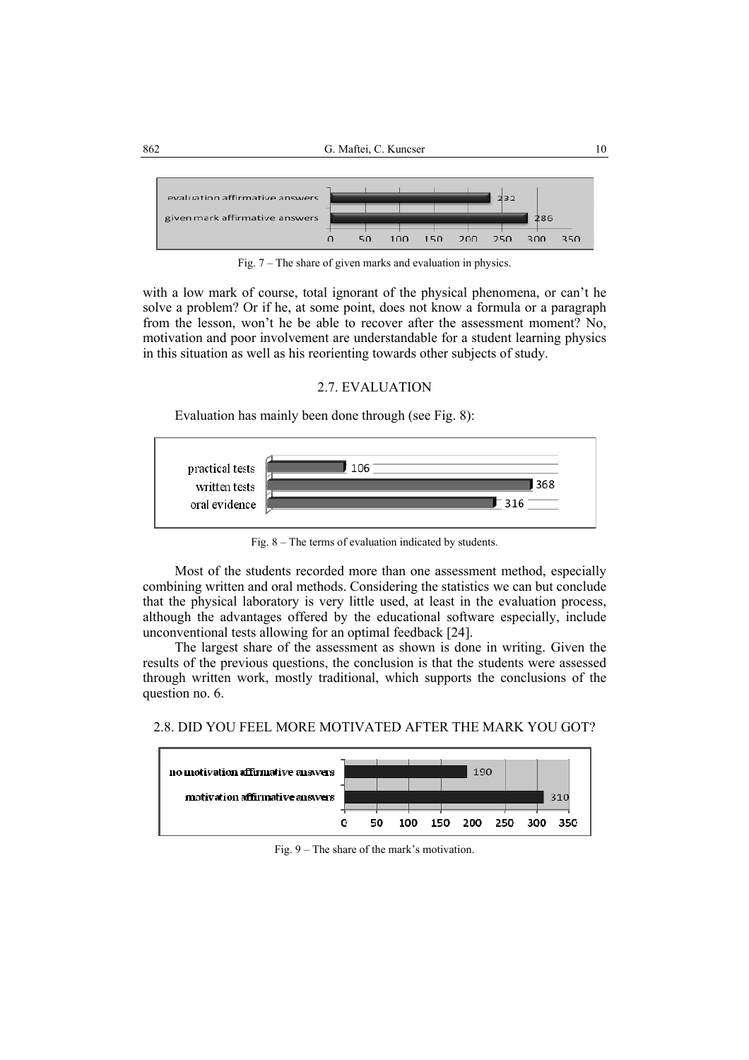

Fig. 7 – The share of given marks and evaluation in physics.

with a low mark of course, total ignorant of the physical phenomena, or can't he solve a problem? Or if he, at some point, does not know a formula or a paragraph from the lesson, won't he be able to recover after the assessment moment? No, motivation and poor involvement are understandable for a student learning physics in this situation as well as his reorienting towards other subjects of study.

#### 2.7. EVALUATION

Evaluation has mainly been done through (see Fig. 8):



Fig. 8 – The terms of evaluation indicated by students.

Most of the students recorded more than one assessment method, especially combining written and oral methods. Considering the statistics we can but conclude that the physical laboratory is very little used, at least in the evaluation process, although the advantages offered by the educational software especially, include unconventional tests allowing for an optimal feedback [24].

The largest share of the assessment as shown is done in writing. Given the results of the previous questions, the conclusion is that the students were assessed through written work, mostly traditional, which supports the conclusions of the question no. 6.

2.8. DID YOU FEEL MORE MOTIVATED AFTER THE MARK YOU GOT?



Fig. 9 – The share of the mark's motivation.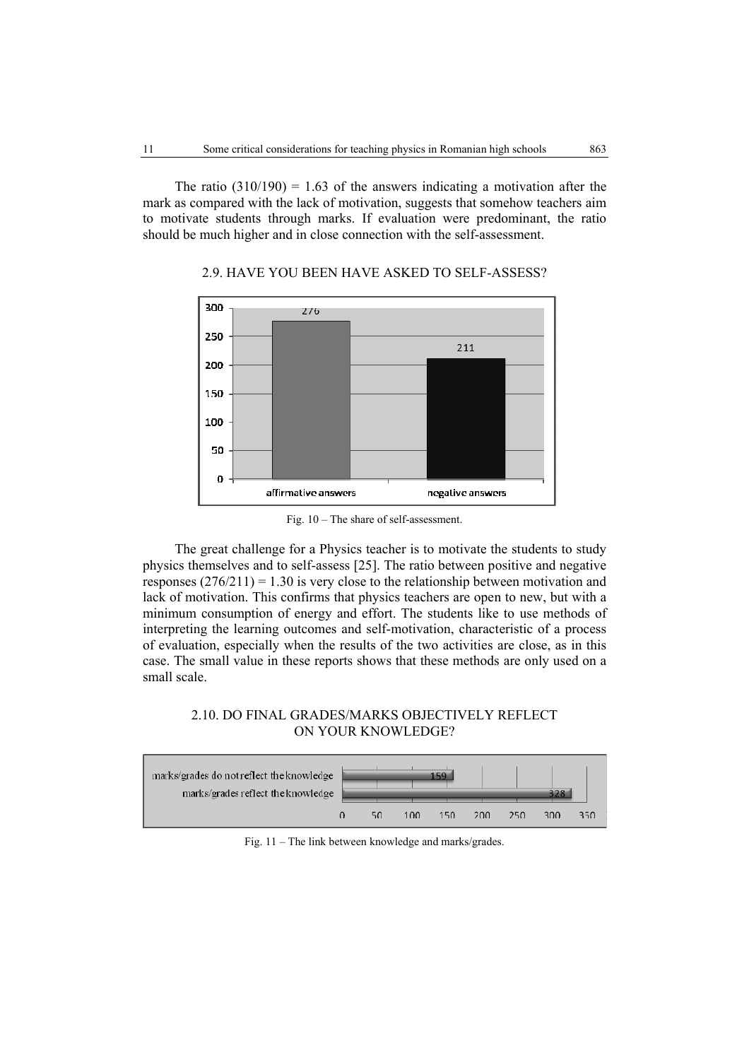The ratio  $(310/190) = 1.63$  of the answers indicating a motivation after the mark as compared with the lack of motivation, suggests that somehow teachers aim to motivate students through marks. If evaluation were predominant, the ratio should be much higher and in close connection with the self-assessment.



## 2.9. HAVE YOU BEEN HAVE ASKED TO SELF-ASSESS?

Fig. 10 – The share of self-assessment.

The great challenge for a Physics teacher is to motivate the students to study physics themselves and to self-assess [25]. The ratio between positive and negative responses  $(276/211) = 1.30$  is very close to the relationship between motivation and lack of motivation. This confirms that physics teachers are open to new, but with a minimum consumption of energy and effort. The students like to use methods of interpreting the learning outcomes and self-motivation, characteristic of a process of evaluation, especially when the results of the two activities are close, as in this case. The small value in these reports shows that these methods are only used on a small scale.

## 2.10. DO FINAL GRADES/MARKS OBJECTIVELY REFLECT ON YOUR KNOWLEDGE?



Fig. 11 – The link between knowledge and marks/grades.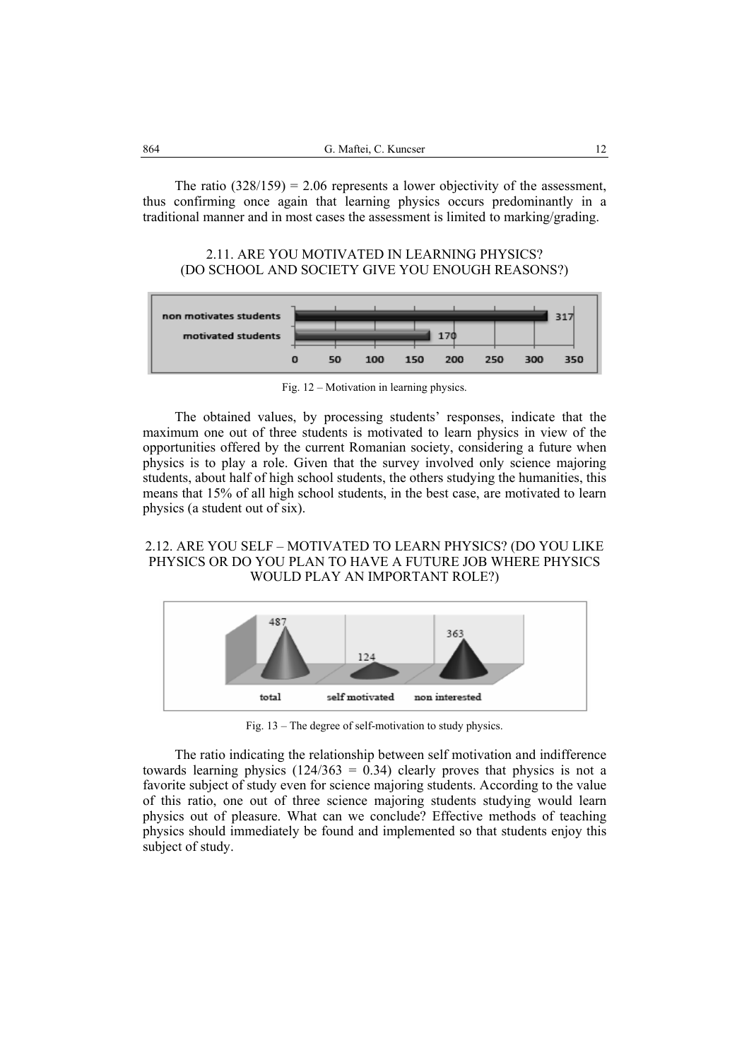The ratio  $(328/159) = 2.06$  represents a lower objectivity of the assessment, thus confirming once again that learning physics occurs predominantly in a traditional manner and in most cases the assessment is limited to marking/grading.

### 2.11. ARE YOU MOTIVATED IN LEARNING PHYSICS? (DO SCHOOL AND SOCIETY GIVE YOU ENOUGH REASONS?)



Fig. 12 – Motivation in learning physics.

The obtained values, by processing students' responses, indicate that the maximum one out of three students is motivated to learn physics in view of the opportunities offered by the current Romanian society, considering a future when physics is to play a role. Given that the survey involved only science majoring students, about half of high school students, the others studying the humanities, this means that 15% of all high school students, in the best case, are motivated to learn physics (a student out of six).

### 2.12. ARE YOU SELF – MOTIVATED TO LEARN PHYSICS? (DO YOU LIKE PHYSICS OR DO YOU PLAN TO HAVE A FUTURE JOB WHERE PHYSICS WOULD PLAY AN IMPORTANT ROLE?)



Fig. 13 – The degree of self-motivation to study physics.

The ratio indicating the relationship between self motivation and indifference towards learning physics  $(124/363 = 0.34)$  clearly proves that physics is not a favorite subject of study even for science majoring students. According to the value of this ratio, one out of three science majoring students studying would learn physics out of pleasure. What can we conclude? Effective methods of teaching physics should immediately be found and implemented so that students enjoy this subject of study.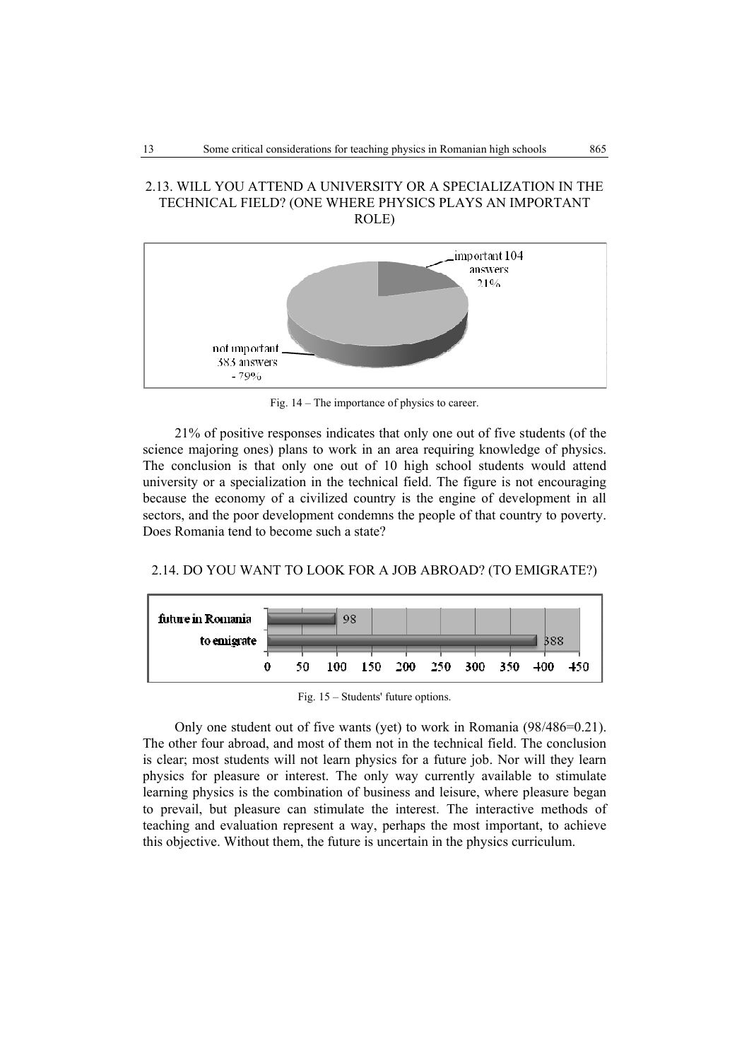### 2.13. WILL YOU ATTEND A UNIVERSITY OR A SPECIALIZATION IN THE TECHNICAL FIELD? (ONE WHERE PHYSICS PLAYS AN IMPORTANT ROLE)



Fig. 14 – The importance of physics to career.

21% of positive responses indicates that only one out of five students (of the science majoring ones) plans to work in an area requiring knowledge of physics. The conclusion is that only one out of 10 high school students would attend university or a specialization in the technical field. The figure is not encouraging because the economy of a civilized country is the engine of development in all sectors, and the poor development condemns the people of that country to poverty. Does Romania tend to become such a state?





Fig. 15 – Students' future options.

Only one student out of five wants (yet) to work in Romania (98/486=0.21). The other four abroad, and most of them not in the technical field. The conclusion is clear; most students will not learn physics for a future job. Nor will they learn physics for pleasure or interest. The only way currently available to stimulate learning physics is the combination of business and leisure, where pleasure began to prevail, but pleasure can stimulate the interest. The interactive methods of teaching and evaluation represent a way, perhaps the most important, to achieve this objective. Without them, the future is uncertain in the physics curriculum.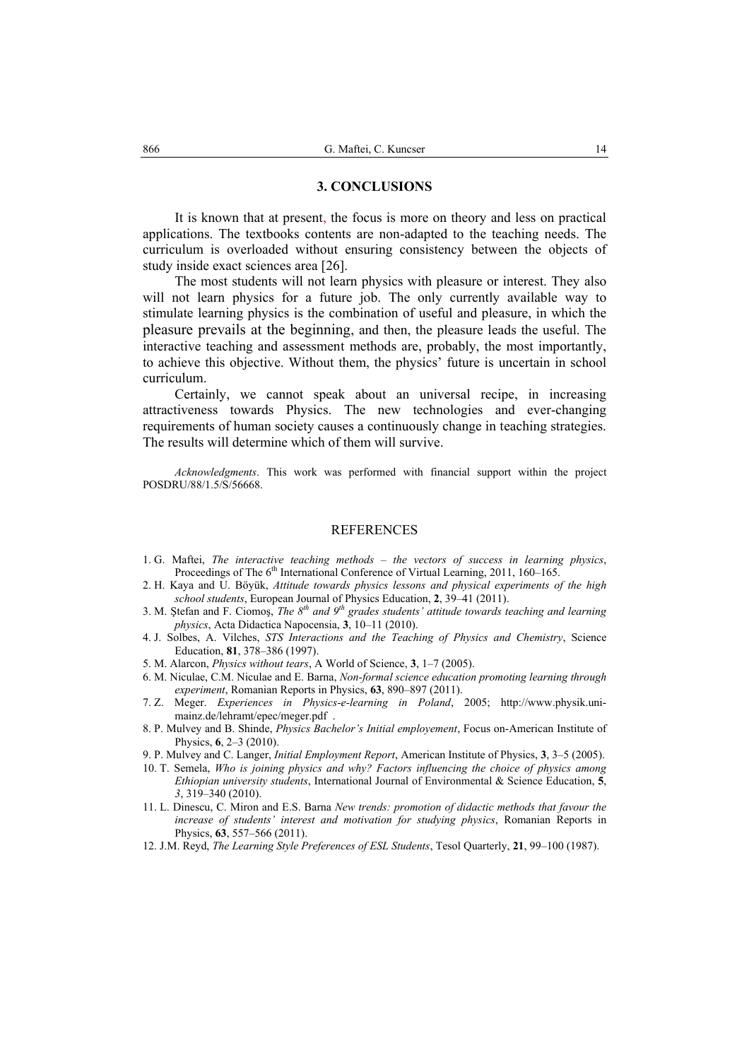#### **3. CONCLUSIONS**

 It is known that at present, the focus is more on theory and less on practical applications. The textbooks contents are non-adapted to the teaching needs. The curriculum is overloaded without ensuring consistency between the objects of study inside exact sciences area [26].

The most students will not learn physics with pleasure or interest. They also will not learn physics for a future job. The only currently available way to stimulate learning physics is the combination of useful and pleasure, in which the pleasure prevails at the beginning, and then, the pleasure leads the useful. The interactive teaching and assessment methods are, probably, the most importantly, to achieve this objective. Without them, the physics' future is uncertain in school curriculum.

 Certainly, we cannot speak about an universal recipe, in increasing attractiveness towards Physics. The new technologies and ever-changing requirements of human society causes a continuously change in teaching strategies. The results will determine which of them will survive.

*Acknowledgments*. This work was performed with financial support within the project POSDRU/88/1.5/S/56668.

#### **REFERENCES**

- 1. G. Maftei, *The interactive teaching methods the vectors of success in learning physics*, Proceedings of The  $6<sup>th</sup>$  International Conference of Virtual Learning, 2011, 160–165.
- 2. H. Kaya and U. Böyük, *Attitude towards physics lessons and physical experiments of the high school students*, European Journal of Physics Education, **2**, 39–41 (2011).
- 3. M. Stefan and F. Ciomos, *The 8<sup>th</sup> and 9<sup>th</sup> grades students' attitude towards teaching and learning physics*, Acta Didactica Napocensia, **3**, 10–11 (2010).
- 4. J. Solbes, A. Vilches, *STS Interactions and the Teaching of Physics and Chemistry*, Science Education, **81**, 378–386 (1997).
- 5. M. Alarcon, *Physics without tears*, A World of Science, **3**, 1–7 (2005).
- 6. M. Niculae, C.M. Niculae and E. Barna, *Non-formal science education promoting learning through experiment*, Romanian Reports in Physics, **63**, 890–897 (2011).
- 7. Z. Meger. *Experiences in Physics-e-learning in Poland*, 2005; http://www.physik.unimainz.de/lehramt/epec/meger.pdf .
- 8. P. Mulvey and B. Shinde, *Physics Bachelor's Initial employement*, Focus on-American Institute of Physics, **6**, 2–3 (2010).
- 9. P. Mulvey and C. Langer, *Initial Employment Report*, American Institute of Physics, **3**, 3–5 (2005).
- 10. T. Semela, *Who is joining physics and why? Factors influencing the choice of physics among Ethiopian university students*, International Journal of Environmental & Science Education, **5**, *3*, 319–340 (2010).
- 11. L. Dinescu, C. Miron and E.S. Barna *New trends: promotion of didactic methods that favour the increase of students' interest and motivation for studying physics*, Romanian Reports in Physics, **63**, 557–566 (2011).
- 12. J.M. Reyd, *The Learning Style Preferences of ESL Students*, Tesol Quarterly, **21**, 99–100 (1987).